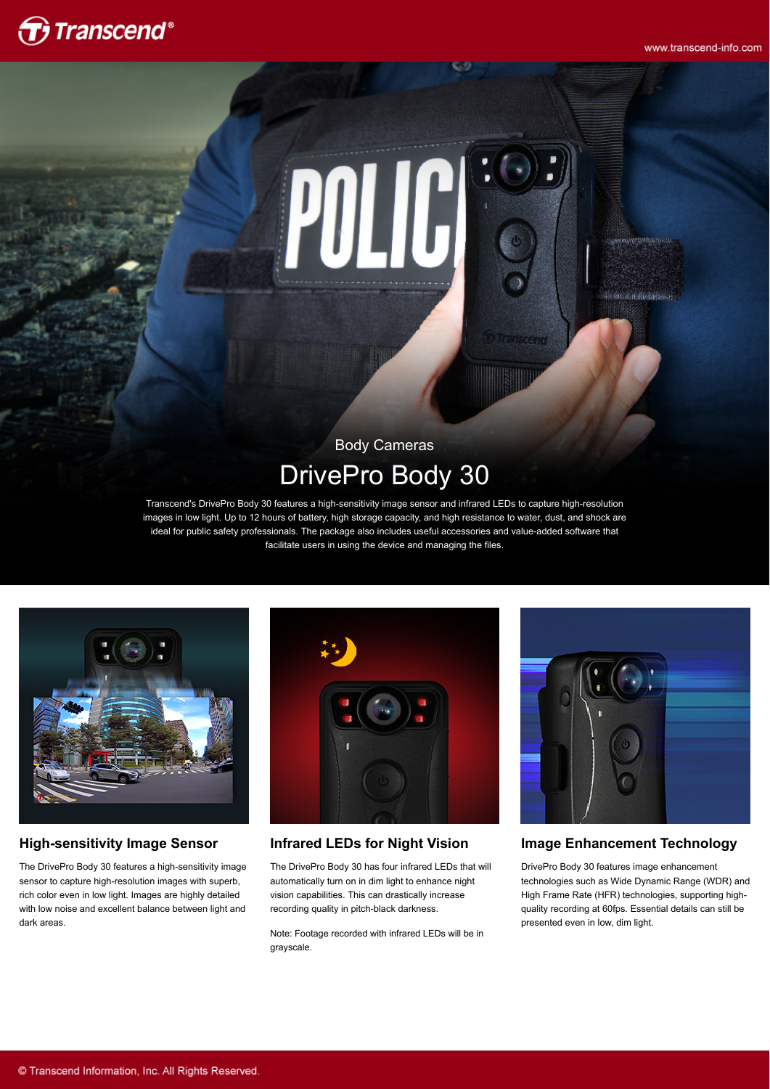www.transcend-info.com

# $\bigoplus$  Transcend $^*$



### Body Cameras DrivePro Body 30

Transcend's DrivePro Body 30 features a high-sensitivity image sensor and infrared LEDs to capture high-resolution images in low light. Up to 12 hours of battery, high storage capacity, and high resistance to water, dust, and shock are ideal for public safety professionals. The package also includes useful accessories and value-added software that facilitate users in using the device and managing the files.



### **High-sensitivity Image Sensor**

The DrivePro Body 30 features a high-sensitivity image sensor to capture high-resolution images with superb, rich color even in low light. Images are highly detailed with low noise and excellent balance between light and dark areas.



### **Infrared LEDs for Night Vision**

The DrivePro Body 30 has four infrared LEDs that will automatically turn on in dim light to enhance night vision capabilities. This can drastically increase recording quality in pitch-black darkness.

Note: Footage recorded with infrared LEDs will be in grayscale.



### **Image Enhancement Technology**

DrivePro Body 30 features image enhancement technologies such as Wide Dynamic Range (WDR) and High Frame Rate (HFR) technologies, supporting highquality recording at 60fps. Essential details can still be presented even in low, dim light.